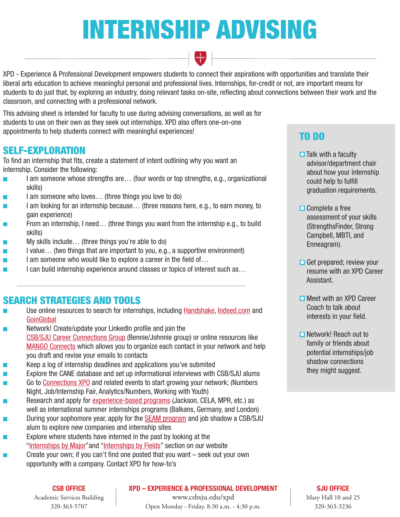# INTERNSHIP ADVISING

XPD - Experience & Professional Development empowers students to connect their aspirations with opportunities and translate their liberal arts education to achieve meaningful personal and professional lives. Internships, for-credit or not, are important means for students to do just that, by exploring an industry, doing relevant tasks on-site, reflecting about connections between their work and the classroom, and connecting with a professional network.

This advising sheet is intended for faculty to use during advising conversations, as well as for students to use on their own as they seek out internships. XPD also offers one-on-one appointments to help students connect with meaningful experiences!

# SELF-EXPLORATION

To find an internship that fits, create a statement of intent outlining why you want an internship. Consider the following:

- I am someone whose strengths are… (four words or top strengths, e.g., organizational  $\overline{\phantom{a}}$ skills)
- I am someone who loves… (three things you love to do)
- I am looking for an internship because... (three reasons here, e.g., to earn money, to  $\overline{\phantom{a}}$ gain experience)
- From an internship, I need… (three things you want from the internship e.g., to build skills)
- My skills include… (three things you're able to do)  $\vert \hspace{.06cm} \vert$
- I value… (two things that are important to you, e.g., a supportive environment)  $\mathcal{L}_{\mathcal{A}}$
- I am someone who would like to explore a career in the field of...
- I can build internship experience around classes or topics of interest such as...

# SEARCH STRATEGIES AND TOOLS

- Use online resources to search for internships, including [Handshake,](https://csbsju.joinhandshake.com/login) [Indeed.com](https://www.indeed.com/) and **[GoinGlobal](https://sharepoint.csbsju.edu/careerservices/Pages/default.aspx)**
- Network! Create/update your LinkedIn profile and join the [CSB/SJU Career Connections Group](https://www.linkedin.com/m/login/) (Bennie/Johnnie group) or online resources like [MANGO Connects](https://app.mangoconnects.com/users/sign-in) which allows you to organize each contact in your network and help you draft and revise your emails to contacts
- Keep a log of internship deadlines and applications you've submited  $\mathbb{R}^n$
- Explore the CANE database and set up informational interviews with CSB/SJU alums П
- Go to [Connections XPO](https://www.csbsju.edu/connections-xpo) and related events to start growing your network; (Numbers Night, Job/Internship Fair, Analytics/Numbers, Working with Youth)
- Research and apply for [experience-based programs](https://www.csbsju.edu/xpd/students/experience-based-programs-x52746) (Jackson, CELA, MPR, etc.) as well as international summer internships programs (Balkans, Germany, and London)
- During your sophomore year, apply for the [SEAM program](https://www.csbsju.edu/xpd/students/experience-based-programs/student-exploration-through-alum-mentorship) and job shadow a CSB/SJU  $\overline{\phantom{a}}$ alum to explore new companies and internship sites
- Explore where students have interned in the past by looking at the  $\overline{\phantom{a}}$ "[Internships by Major](https://www.csbsju.edu/xpd/students/experience-based-programs/internship-program/students/searching-for-an-internship/internship-sites-by-major)"and "[Internships by Fields"](https://www.csbsju.edu/xpd/students/experience-based-programs/internship-program/students/searching-for-an-internship/internship-sites-by-industry) section on our website
- Create your own; if you can't find one posted that you want seek out your own opportunity with a company. Contact XPD for how-to's

# TO DO

- $\Box$  Talk with a faculty advisor/department chair about how your internship could help to fulfill graduation requirements.
- $\Box$  Complete a free assessment of your skills (StrengthsFinder, Strong Campbell, MBTI, and Enneagram).
- $\Box$  Get prepared; review your resume with an XPD Career Assistant.
- **□ Meet with an XPD Career**  Coach to talk about interests in your field.
- **□** Network! Reach out to family or friends about potential internships/job shadow connections they might suggest.

#### CSB OFFICE

Academic Services Building 320-363-5707

XPD – EXPERIENCE & PROFESSIONAL DEVELOPMENT

www.csbsju.edu/xpd Open Monday - Friday, 8:30 a.m. - 4:30 p.m.

#### SJU OFFICE

Mary Hall 10 and 25 320-363-3236